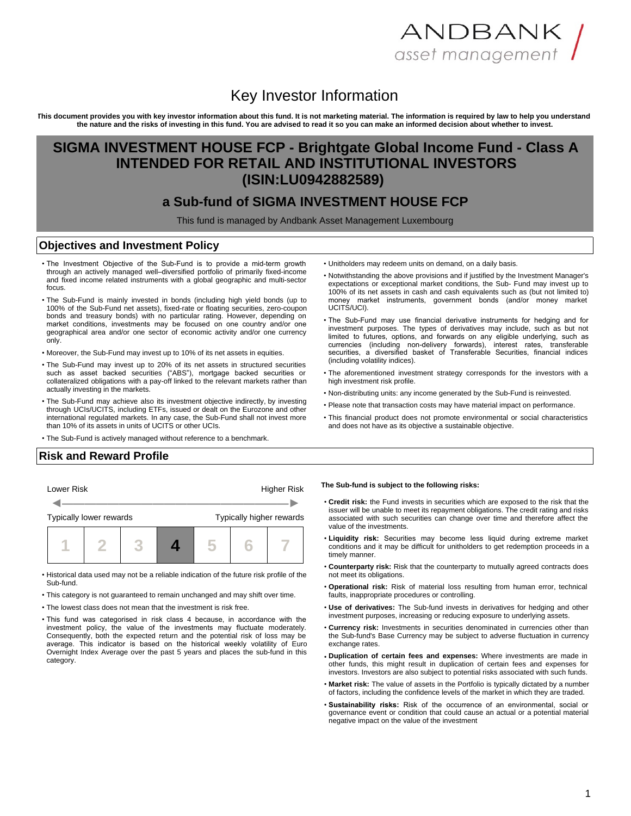# ANDBANK / asset management

# Key Investor Information

**This document provides you with key investor information about this fund. It is not marketing material. The information is required by law to help you understand the nature and the risks of investing in this fund. You are advised to read it so you can make an informed decision about whether to invest.**

## **SIGMA INVESTMENT HOUSE FCP - Brightgate Global Income Fund - Class A INTENDED FOR RETAIL AND INSTITUTIONAL INVESTORS (ISIN:LU0942882589)**

### **a Sub-fund of SIGMA INVESTMENT HOUSE FCP**

This fund is managed by Andbank Asset Management Luxembourg

#### **Objectives and Investment Policy**

- The Investment Objective of the Sub-Fund is to provide a mid-term growth through an actively managed well–diversified portfolio of primarily fixed-income and fixed income related instruments with a global geographic and multi-sector focus.
- The Sub-Fund is mainly invested in bonds (including high yield bonds (up to 100% of the Sub-Fund net assets), fixed-rate or floating securities, zero-coupon bonds and treasury bonds) with no particular rating. However, depending on market conditions, investments may be focused on one country and/or one geographical area and/or one sector of economic activity and/or one currency only.
- Moreover, the Sub-Fund may invest up to 10% of its net assets in equities.
- The Sub-Fund may invest up to 20% of its net assets in structured securities such as asset backed securities ("ABS"), mortgage backed securities or collateralized obligations with a pay-off linked to the relevant markets rather than actually investing in the markets.
- The Sub-Fund may achieve also its investment objective indirectly, by investing through UCIs/UCITS, including ETFs, issued or dealt on the Eurozone and other international regulated markets. In any case, the Sub-Fund shall not invest more than 10% of its assets in units of UCITS or other UCIs.
- The Sub-Fund is actively managed without reference to a benchmark.
- Unitholders may redeem units on demand, on a daily basis.
- Notwithstanding the above provisions and if justified by the Investment Manager's expectations or exceptional market conditions, the Sub- Fund may invest up to 100% of its net assets in cash and cash equivalents such as (but not limited to) money market instruments, government bonds (and/or money market UCITS/UCI).
- The Sub-Fund may use financial derivative instruments for hedging and for investment purposes. The types of derivatives may include, such as but not limited to futures, options, and forwards on any eligible underlying, such as currencies (including non-delivery forwards), interest rates, transferable securities, a diversified basket of Transferable Securities, financial indices (including volatility indices).
- The aforementioned investment strategy corresponds for the investors with a high investment risk profile.
- Non-distributing units: any income generated by the Sub-Fund is reinvested.
- Please note that transaction costs may have material impact on performance.
- This financial product does not promote environmental or social characteristics and does not have as its objective a sustainable objective.

#### **Risk and Reward Profile**



- Historical data used may not be a reliable indication of the future risk profile of the Sub-fund.
- This category is not guaranteed to remain unchanged and may shift over time.
- The lowest class does not mean that the investment is risk free.
- This fund was categorised in risk class 4 because, in accordance with the investment policy, the value of the investments may fluctuate moderately. Consequently, both the expected return and the potential risk of loss may be average. This indicator is based on the historical weekly volatility of Euro Overnight Index Average over the past 5 years and places the sub-fund in this category.

**The Sub-fund is subject to the following risks:**

- **Credit risk:** the Fund invests in securities which are exposed to the risk that the issuer will be unable to meet its repayment obligations. The credit rating and risks associated with such securities can change over time and therefore affect the value of the investments.
- **Liquidity risk:** Securities may become less liquid during extreme market conditions and it may be difficult for unitholders to get redemption proceeds in a timely manner
- **Counterparty risk:** Risk that the counterparty to mutually agreed contracts does not meet its obligations.
- **Operational risk:** Risk of material loss resulting from human error, technical faults, inappropriate procedures or controlling.
- **Use of derivatives:** The Sub-fund invests in derivatives for hedging and other investment purposes, increasing or reducing exposure to underlying assets.
- **Currency risk:** Investments in securities denominated in currencies other than the Sub-fund's Base Currency may be subject to adverse fluctuation in currency exchange rates.
- **Duplication of certain fees and expenses:** Where investments are made in other funds, this might result in duplication of certain fees and expenses for investors. Investors are also subject to potential risks associated with such funds.
- **Market risk:** The value of assets in the Portfolio is typically dictated by a number of factors, including the confidence levels of the market in which they are traded.
- **Sustainability risks:** Risk of the occurrence of an environmental, social or governance event or condition that could cause an actual or a potential material negative impact on the value of the investment